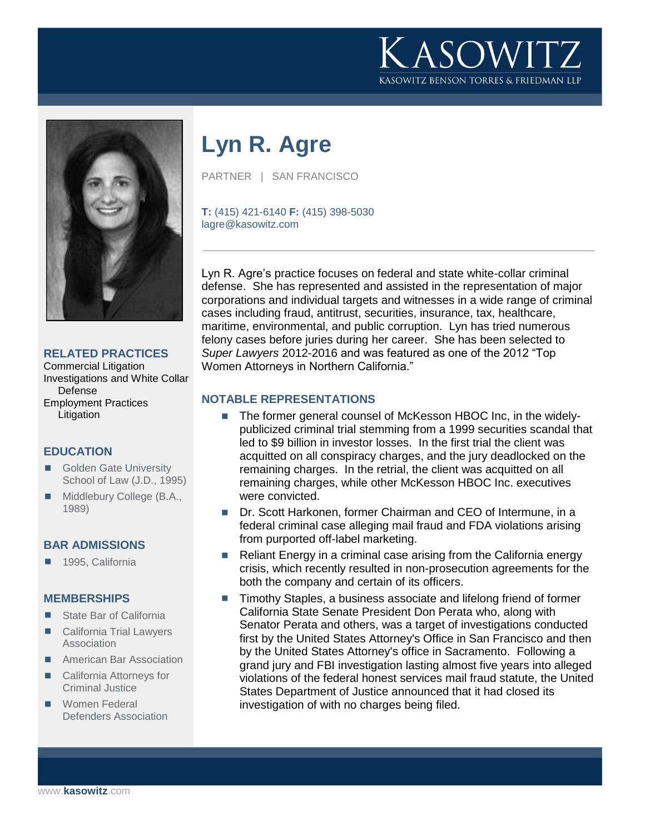



## **RELATED PRACTICES**

Commercial Litigation Investigations and White Collar Defense Employment Practices **Litigation** 

## **EDUCATION**

- Golden Gate University School of Law (J.D., 1995)
- Middlebury College (B.A., 1989)

### **BAR ADMISSIONS**

1995, California

### **MEMBERSHIPS**

- State Bar of California
- California Trial Lawyers Association
- **American Bar Association**
- California Attorneys for Criminal Justice
- **Women Federal** Defenders Association

# **Lyn R. Agre**

PARTNER | SAN FRANCISCO

**T:** (415) 421-6140 **F:** (415) 398-5030 lagre@kasowitz.com

Lyn R. Agre's practice focuses on federal and state white-collar criminal defense. She has represented and assisted in the representation of major corporations and individual targets and witnesses in a wide range of criminal cases including fraud, antitrust, securities, insurance, tax, healthcare, maritime, environmental, and public corruption. Lyn has tried numerous felony cases before juries during her career. She has been selected to *Super Lawyers* 2012-2016 and was featured as one of the 2012 "Top Women Attorneys in Northern California."

### **NOTABLE REPRESENTATIONS**

- The former general counsel of McKesson HBOC Inc, in the widelypublicized criminal trial stemming from a 1999 securities scandal that led to \$9 billion in investor losses. In the first trial the client was acquitted on all conspiracy charges, and the jury deadlocked on the remaining charges. In the retrial, the client was acquitted on all remaining charges, while other McKesson HBOC Inc. executives were convicted.
- Dr. Scott Harkonen, former Chairman and CEO of Intermune, in a federal criminal case alleging mail fraud and FDA violations arising from purported off-label marketing.
- Reliant Energy in a criminal case arising from the California energy crisis, which recently resulted in non-prosecution agreements for the both the company and certain of its officers.
- Timothy Staples, a business associate and lifelong friend of former California State Senate President Don Perata who, along with Senator Perata and others, was a target of investigations conducted first by the United States Attorney's Office in San Francisco and then by the United States Attorney's office in Sacramento. Following a grand jury and FBI investigation lasting almost five years into alleged violations of the federal honest services mail fraud statute, the United States Department of Justice announced that it had closed its investigation of with no charges being filed.